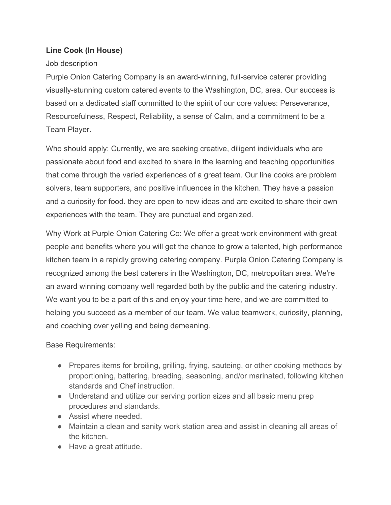## **Line Cook (In House)**

## Job description

Purple Onion Catering Company is an award-winning, full-service caterer providing visually-stunning custom catered events to the Washington, DC, area. Our success is based on a dedicated staff committed to the spirit of our core values: Perseverance, Resourcefulness, Respect, Reliability, a sense of Calm, and a commitment to be a Team Player.

Who should apply: Currently, we are seeking creative, diligent individuals who are passionate about food and excited to share in the learning and teaching opportunities that come through the varied experiences of a great team. Our line cooks are problem solvers, team supporters, and positive influences in the kitchen. They have a passion and a curiosity for food. they are open to new ideas and are excited to share their own experiences with the team. They are punctual and organized.

Why Work at Purple Onion Catering Co: We offer a great work environment with great people and benefits where you will get the chance to grow a talented, high performance kitchen team in a rapidly growing catering company. Purple Onion Catering Company is recognized among the best caterers in the Washington, DC, metropolitan area. We're an award winning company well regarded both by the public and the catering industry. We want you to be a part of this and enjoy your time here, and we are committed to helping you succeed as a member of our team. We value teamwork, curiosity, planning, and coaching over yelling and being demeaning.

Base Requirements:

- Prepares items for broiling, grilling, frying, sauteing, or other cooking methods by proportioning, battering, breading, seasoning, and/or marinated, following kitchen standards and Chef instruction.
- Understand and utilize our serving portion sizes and all basic menu prep procedures and standards.
- Assist where needed.
- Maintain a clean and sanity work station area and assist in cleaning all areas of the kitchen.
- Have a great attitude.